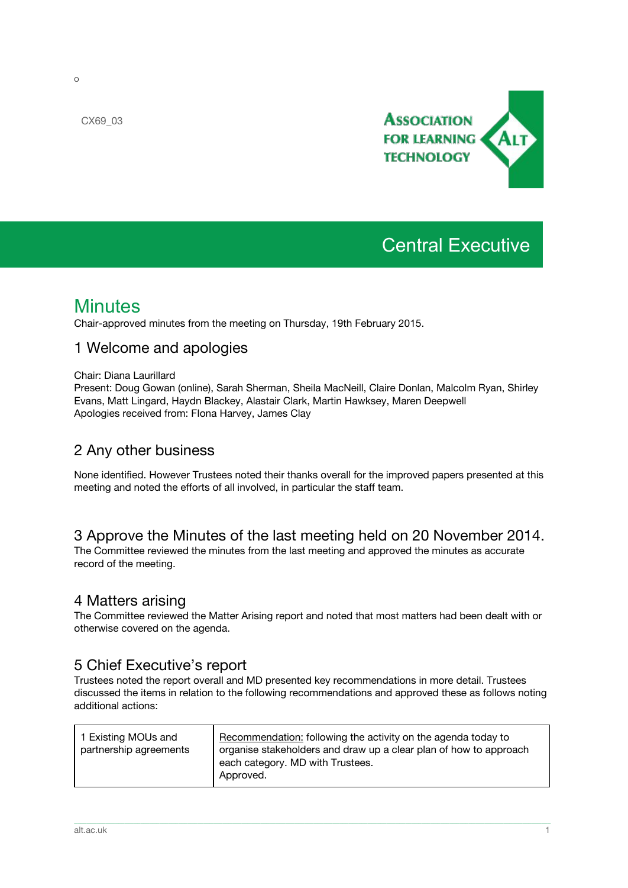

# Central Executive

# **Minutes**

Chair-approved minutes from the meeting on Thursday, 19th February 2015.

### 1 Welcome and apologies

#### Chair: Diana Laurillard

Present: Doug Gowan (online), Sarah Sherman, Sheila MacNeill, Claire Donlan, Malcolm Ryan, Shirley Evans, Matt Lingard, Haydn Blackey, Alastair Clark, Martin Hawksey, Maren Deepwell Apologies received from: FIona Harvey, James Clay

## 2 Any other business

None identified. However Trustees noted their thanks overall for the improved papers presented at this meeting and noted the efforts of all involved, in particular the staff team.

#### 3 Approve the Minutes of the last meeting held on 20 November 2014.

The Committee reviewed the minutes from the last meeting and approved the minutes as accurate record of the meeting.

#### 4 Matters arising

The Committee reviewed the Matter Arising report and noted that most matters had been dealt with or otherwise covered on the agenda.

### 5 Chief Executive's report

Trustees noted the report overall and MD presented key recommendations in more detail. Trustees discussed the items in relation to the following recommendations and approved these as follows noting additional actions:

| 1 Existing MOUs and<br>partnership agreements | Recommendation: following the activity on the agenda today to<br>organise stakeholders and draw up a clear plan of how to approach<br>each category. MD with Trustees.<br>Approved. |
|-----------------------------------------------|-------------------------------------------------------------------------------------------------------------------------------------------------------------------------------------|
|                                               |                                                                                                                                                                                     |

\_\_\_\_\_\_\_\_\_\_\_\_\_\_\_\_\_\_\_\_\_\_\_\_\_\_\_\_\_\_\_\_\_\_\_\_\_\_\_\_\_\_\_\_\_\_\_\_\_\_\_\_\_\_\_\_\_\_\_\_\_\_\_\_\_\_\_\_\_\_\_\_\_\_\_\_\_\_\_\_\_\_\_\_\_\_\_\_\_\_\_\_\_\_\_\_\_\_\_\_\_\_\_\_\_\_\_\_\_\_\_\_\_\_\_\_\_\_\_\_\_\_\_\_\_\_\_\_\_\_\_\_\_\_\_\_\_\_\_\_\_\_\_\_\_\_\_\_\_\_\_

CX69\_03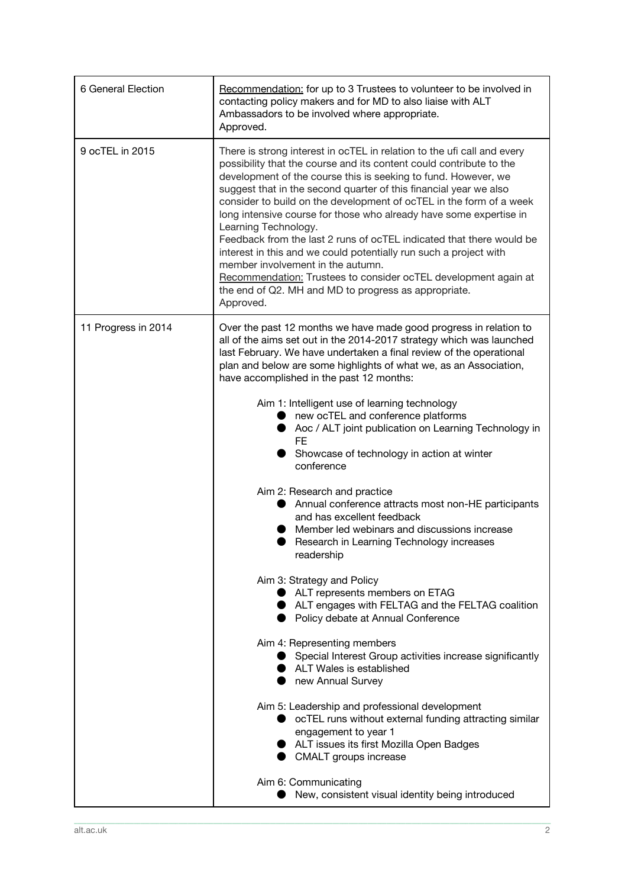| 6 General Election  | Recommendation: for up to 3 Trustees to volunteer to be involved in<br>contacting policy makers and for MD to also liaise with ALT<br>Ambassadors to be involved where appropriate.<br>Approved.                                                                                                                                                                                                                                                                                                                                                                                                                                                                                                                                                                                                                                                                                                                                                                                                                                                                                                                                                                                                                                                                                                                                                                                         |
|---------------------|------------------------------------------------------------------------------------------------------------------------------------------------------------------------------------------------------------------------------------------------------------------------------------------------------------------------------------------------------------------------------------------------------------------------------------------------------------------------------------------------------------------------------------------------------------------------------------------------------------------------------------------------------------------------------------------------------------------------------------------------------------------------------------------------------------------------------------------------------------------------------------------------------------------------------------------------------------------------------------------------------------------------------------------------------------------------------------------------------------------------------------------------------------------------------------------------------------------------------------------------------------------------------------------------------------------------------------------------------------------------------------------|
| 9 ocTEL in 2015     | There is strong interest in ocTEL in relation to the ufi call and every<br>possibility that the course and its content could contribute to the<br>development of the course this is seeking to fund. However, we<br>suggest that in the second quarter of this financial year we also<br>consider to build on the development of ocTEL in the form of a week<br>long intensive course for those who already have some expertise in<br>Learning Technology.<br>Feedback from the last 2 runs of ocTEL indicated that there would be<br>interest in this and we could potentially run such a project with<br>member involvement in the autumn.<br>Recommendation: Trustees to consider ocTEL development again at<br>the end of Q2. MH and MD to progress as appropriate.<br>Approved.                                                                                                                                                                                                                                                                                                                                                                                                                                                                                                                                                                                                     |
| 11 Progress in 2014 | Over the past 12 months we have made good progress in relation to<br>all of the aims set out in the 2014-2017 strategy which was launched<br>last February. We have undertaken a final review of the operational<br>plan and below are some highlights of what we, as an Association,<br>have accomplished in the past 12 months:<br>Aim 1: Intelligent use of learning technology<br>• new ocTEL and conference platforms<br>Aoc / ALT joint publication on Learning Technology in<br>FE<br>Showcase of technology in action at winter<br>conference<br>Aim 2: Research and practice<br>Annual conference attracts most non-HE participants<br>and has excellent feedback<br>Member led webinars and discussions increase<br>Research in Learning Technology increases<br>readership<br>Aim 3: Strategy and Policy<br>ALT represents members on ETAG<br>ALT engages with FELTAG and the FELTAG coalition<br>• Policy debate at Annual Conference<br>Aim 4: Representing members<br>• Special Interest Group activities increase significantly<br>ALT Wales is established<br>• new Annual Survey<br>Aim 5: Leadership and professional development<br>• ocTEL runs without external funding attracting similar<br>engagement to year 1<br>ALT issues its first Mozilla Open Badges<br>CMALT groups increase<br>Aim 6: Communicating<br>New, consistent visual identity being introduced |

\_\_\_\_\_\_\_\_\_\_\_\_\_\_\_\_\_\_\_\_\_\_\_\_\_\_\_\_\_\_\_\_\_\_\_\_\_\_\_\_\_\_\_\_\_\_\_\_\_\_\_\_\_\_\_\_\_\_\_\_\_\_\_\_\_\_\_\_\_\_\_\_\_\_\_\_\_\_\_\_\_\_\_\_\_\_\_\_\_\_\_\_\_\_\_\_\_\_\_\_\_\_\_\_\_\_\_\_\_\_\_\_\_\_\_\_\_\_\_\_\_\_\_\_\_\_\_\_\_\_\_\_\_\_\_\_\_\_\_\_\_\_\_\_\_\_\_\_\_\_\_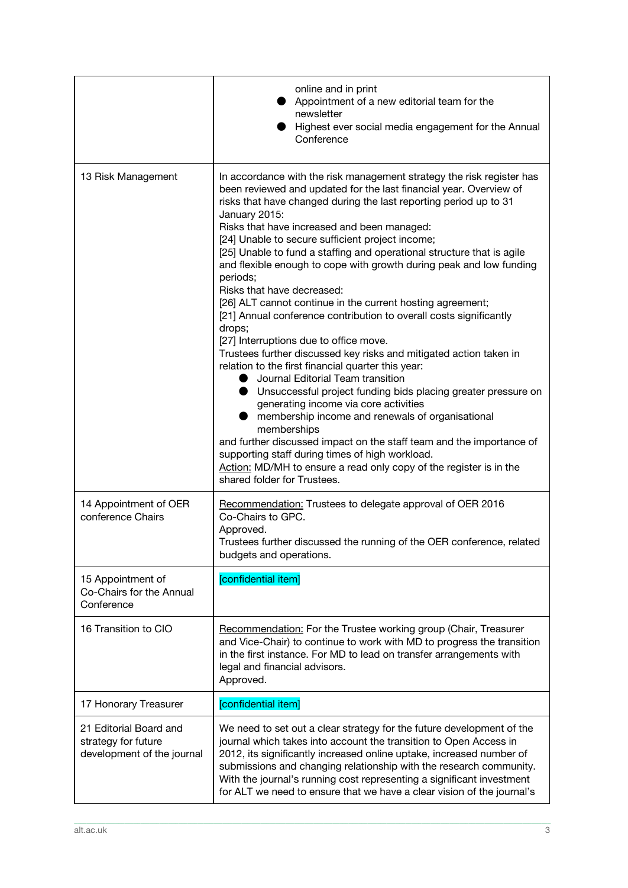|                                                                             | online and in print<br>Appointment of a new editorial team for the<br>newsletter<br>Highest ever social media engagement for the Annual<br>Conference                                                                                                                                                                                                                                                                                                                                                                                                                                                                                                                                                                                                                                                                                                                                                                                                                                                                                                                                                                                                                                                                                                                                                                       |
|-----------------------------------------------------------------------------|-----------------------------------------------------------------------------------------------------------------------------------------------------------------------------------------------------------------------------------------------------------------------------------------------------------------------------------------------------------------------------------------------------------------------------------------------------------------------------------------------------------------------------------------------------------------------------------------------------------------------------------------------------------------------------------------------------------------------------------------------------------------------------------------------------------------------------------------------------------------------------------------------------------------------------------------------------------------------------------------------------------------------------------------------------------------------------------------------------------------------------------------------------------------------------------------------------------------------------------------------------------------------------------------------------------------------------|
| 13 Risk Management                                                          | In accordance with the risk management strategy the risk register has<br>been reviewed and updated for the last financial year. Overview of<br>risks that have changed during the last reporting period up to 31<br>January 2015:<br>Risks that have increased and been managed:<br>[24] Unable to secure sufficient project income;<br>[25] Unable to fund a staffing and operational structure that is agile<br>and flexible enough to cope with growth during peak and low funding<br>periods;<br>Risks that have decreased:<br>[26] ALT cannot continue in the current hosting agreement;<br>[21] Annual conference contribution to overall costs significantly<br>drops;<br>[27] Interruptions due to office move.<br>Trustees further discussed key risks and mitigated action taken in<br>relation to the first financial quarter this year:<br>Journal Editorial Team transition<br>$\bullet$<br><b>O</b> Unsuccessful project funding bids placing greater pressure on<br>generating income via core activities<br>membership income and renewals of organisational<br>memberships<br>and further discussed impact on the staff team and the importance of<br>supporting staff during times of high workload.<br>Action: MD/MH to ensure a read only copy of the register is in the<br>shared folder for Trustees. |
| 14 Appointment of OER<br>conference Chairs                                  | Recommendation: Trustees to delegate approval of OER 2016<br>Co-Chairs to GPC.<br>Approved.<br>Trustees further discussed the running of the OER conference, related<br>budgets and operations.                                                                                                                                                                                                                                                                                                                                                                                                                                                                                                                                                                                                                                                                                                                                                                                                                                                                                                                                                                                                                                                                                                                             |
| 15 Appointment of<br>Co-Chairs for the Annual<br>Conference                 | [confidential item]                                                                                                                                                                                                                                                                                                                                                                                                                                                                                                                                                                                                                                                                                                                                                                                                                                                                                                                                                                                                                                                                                                                                                                                                                                                                                                         |
| 16 Transition to CIO                                                        | Recommendation: For the Trustee working group (Chair, Treasurer<br>and Vice-Chair) to continue to work with MD to progress the transition<br>in the first instance. For MD to lead on transfer arrangements with<br>legal and financial advisors.<br>Approved.                                                                                                                                                                                                                                                                                                                                                                                                                                                                                                                                                                                                                                                                                                                                                                                                                                                                                                                                                                                                                                                              |
| 17 Honorary Treasurer                                                       | [confidential item]                                                                                                                                                                                                                                                                                                                                                                                                                                                                                                                                                                                                                                                                                                                                                                                                                                                                                                                                                                                                                                                                                                                                                                                                                                                                                                         |
| 21 Editorial Board and<br>strategy for future<br>development of the journal | We need to set out a clear strategy for the future development of the<br>journal which takes into account the transition to Open Access in<br>2012, its significantly increased online uptake, increased number of<br>submissions and changing relationship with the research community.<br>With the journal's running cost representing a significant investment<br>for ALT we need to ensure that we have a clear vision of the journal's                                                                                                                                                                                                                                                                                                                                                                                                                                                                                                                                                                                                                                                                                                                                                                                                                                                                                 |

\_\_\_\_\_\_\_\_\_\_\_\_\_\_\_\_\_\_\_\_\_\_\_\_\_\_\_\_\_\_\_\_\_\_\_\_\_\_\_\_\_\_\_\_\_\_\_\_\_\_\_\_\_\_\_\_\_\_\_\_\_\_\_\_\_\_\_\_\_\_\_\_\_\_\_\_\_\_\_\_\_\_\_\_\_\_\_\_\_\_\_\_\_\_\_\_\_\_\_\_\_\_\_\_\_\_\_\_\_\_\_\_\_\_\_\_\_\_\_\_\_\_\_\_\_\_\_\_\_\_\_\_\_\_\_\_\_\_\_\_\_\_\_\_\_\_\_\_\_\_\_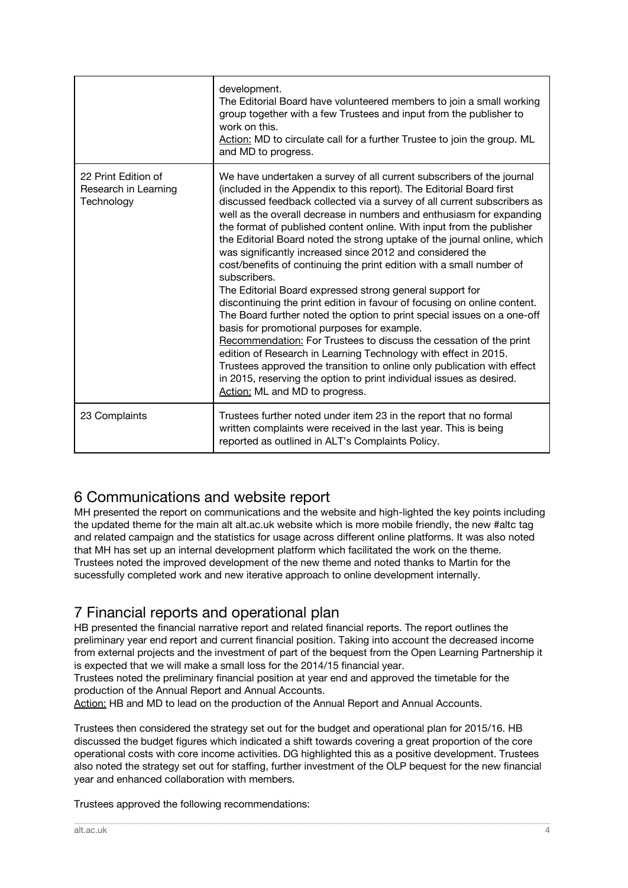|                                                           | development.<br>The Editorial Board have volunteered members to join a small working<br>group together with a few Trustees and input from the publisher to<br>work on this.<br>Action: MD to circulate call for a further Trustee to join the group. ML<br>and MD to progress.                                                                                                                                                                                                                                                                                                                                                                                                                                                                                                                                                                                                                                                                                                                                                                                                                                                                                                                             |
|-----------------------------------------------------------|------------------------------------------------------------------------------------------------------------------------------------------------------------------------------------------------------------------------------------------------------------------------------------------------------------------------------------------------------------------------------------------------------------------------------------------------------------------------------------------------------------------------------------------------------------------------------------------------------------------------------------------------------------------------------------------------------------------------------------------------------------------------------------------------------------------------------------------------------------------------------------------------------------------------------------------------------------------------------------------------------------------------------------------------------------------------------------------------------------------------------------------------------------------------------------------------------------|
| 22 Print Edition of<br>Research in Learning<br>Technology | We have undertaken a survey of all current subscribers of the journal<br>(included in the Appendix to this report). The Editorial Board first<br>discussed feedback collected via a survey of all current subscribers as<br>well as the overall decrease in numbers and enthusiasm for expanding<br>the format of published content online. With input from the publisher<br>the Editorial Board noted the strong uptake of the journal online, which<br>was significantly increased since 2012 and considered the<br>cost/benefits of continuing the print edition with a small number of<br>subscribers.<br>The Editorial Board expressed strong general support for<br>discontinuing the print edition in favour of focusing on online content.<br>The Board further noted the option to print special issues on a one-off<br>basis for promotional purposes for example.<br>Recommendation: For Trustees to discuss the cessation of the print<br>edition of Research in Learning Technology with effect in 2015.<br>Trustees approved the transition to online only publication with effect<br>in 2015, reserving the option to print individual issues as desired.<br>Action: ML and MD to progress. |
| 23 Complaints                                             | Trustees further noted under item 23 in the report that no formal<br>written complaints were received in the last year. This is being<br>reported as outlined in ALT's Complaints Policy.                                                                                                                                                                                                                                                                                                                                                                                                                                                                                                                                                                                                                                                                                                                                                                                                                                                                                                                                                                                                                  |

## 6 Communications and website report

MH presented the report on communications and the website and high-lighted the key points including the updated theme for the main alt alt.ac.uk website which is more mobile friendly, the new #altc tag and related campaign and the statistics for usage across different online platforms. It was also noted that MH has set up an internal development platform which facilitated the work on the theme. Trustees noted the improved development of the new theme and noted thanks to Martin for the sucessfully completed work and new iterative approach to online development internally.

## 7 Financial reports and operational plan

HB presented the financial narrative report and related financial reports. The report outlines the preliminary year end report and current financial position. Taking into account the decreased income from external projects and the investment of part of the bequest from the Open Learning Partnership it is expected that we will make a small loss for the 2014/15 financial year.

Trustees noted the preliminary financial position at year end and approved the timetable for the production of the Annual Report and Annual Accounts.

Action: HB and MD to lead on the production of the Annual Report and Annual Accounts.

Trustees then considered the strategy set out for the budget and operational plan for 2015/16. HB discussed the budget figures which indicated a shift towards covering a great proportion of the core operational costs with core income activities. DG highlighted this as a positive development. Trustees also noted the strategy set out for staffing, further investment of the OLP bequest for the new financial year and enhanced collaboration with members.

\_\_\_\_\_\_\_\_\_\_\_\_\_\_\_\_\_\_\_\_\_\_\_\_\_\_\_\_\_\_\_\_\_\_\_\_\_\_\_\_\_\_\_\_\_\_\_\_\_\_\_\_\_\_\_\_\_\_\_\_\_\_\_\_\_\_\_\_\_\_\_\_\_\_\_\_\_\_\_\_\_\_\_\_\_\_\_\_\_\_\_\_\_\_\_\_\_\_\_\_\_\_\_\_\_\_\_\_\_\_\_\_\_\_\_\_\_\_\_\_\_\_\_\_\_\_\_\_\_\_\_\_\_\_\_\_\_\_\_\_\_\_\_\_\_\_\_\_\_\_\_

Trustees approved the following recommendations: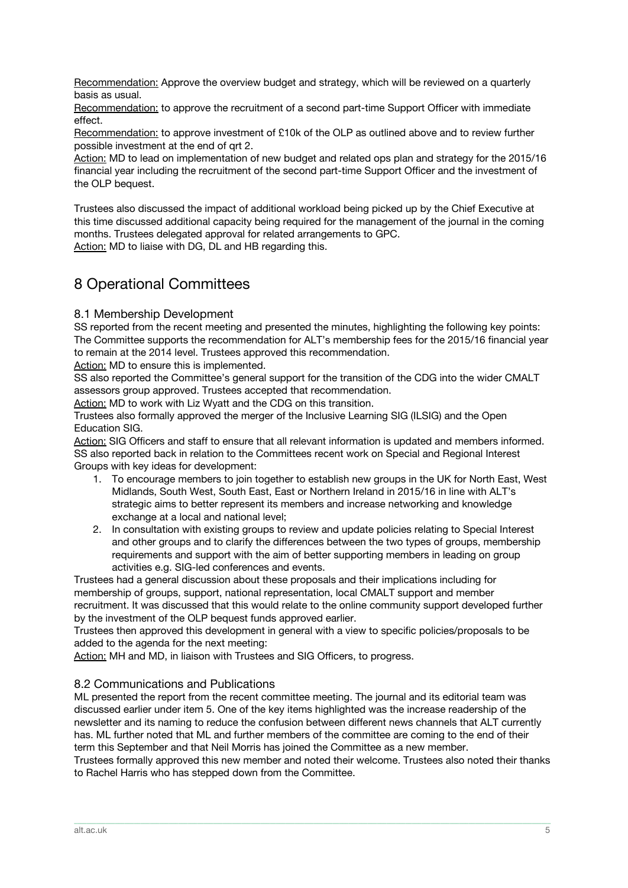Recommendation: Approve the overview budget and strategy, which will be reviewed on a quarterly basis as usual.

Recommendation: to approve the recruitment of a second part-time Support Officer with immediate effect.

Recommendation: to approve investment of £10k of the OLP as outlined above and to review further possible investment at the end of qrt 2.

Action: MD to lead on implementation of new budget and related ops plan and strategy for the 2015/16 financial year including the recruitment of the second part-time Support Officer and the investment of the OLP bequest.

Trustees also discussed the impact of additional workload being picked up by the Chief Executive at this time discussed additional capacity being required for the management of the journal in the coming months. Trustees delegated approval for related arrangements to GPC.

Action: MD to liaise with DG. DL and HB regarding this.

## 8 Operational Committees

#### 8.1 Membership Development

SS reported from the recent meeting and presented the minutes, highlighting the following key points: The Committee supports the recommendation for ALT's membership fees for the 2015/16 financial year to remain at the 2014 level. Trustees approved this recommendation.

Action: MD to ensure this is implemented.

SS also reported the Committee's general support for the transition of the CDG into the wider CMALT assessors group approved. Trustees accepted that recommendation.

Action: MD to work with Liz Wyatt and the CDG on this transition.

Trustees also formally approved the merger of the Inclusive Learning SIG (ILSIG) and the Open Education SIG.

Action: SIG Officers and staff to ensure that all relevant information is updated and members informed. SS also reported back in relation to the Committees recent work on Special and Regional Interest Groups with key ideas for development:

- 1. To encourage members to join together to establish new groups in the UK for North East, West Midlands, South West, South East, East or Northern Ireland in 2015/16 in line with ALT's strategic aims to better represent its members and increase networking and knowledge exchange at a local and national level;
- 2. In consultation with existing groups to review and update policies relating to Special Interest and other groups and to clarify the differences between the two types of groups, membership requirements and support with the aim of better supporting members in leading on group activities e.g. SIG-led conferences and events.

Trustees had a general discussion about these proposals and their implications including for membership of groups, support, national representation, local CMALT support and member recruitment. It was discussed that this would relate to the online community support developed further by the investment of the OLP bequest funds approved earlier.

Trustees then approved this development in general with a view to specific policies/proposals to be added to the agenda for the next meeting:

Action: MH and MD, in liaison with Trustees and SIG Officers, to progress.

#### 8.2 Communications and Publications

ML presented the report from the recent committee meeting. The journal and its editorial team was discussed earlier under item 5. One of the key items highlighted was the increase readership of the newsletter and its naming to reduce the confusion between different news channels that ALT currently has. ML further noted that ML and further members of the committee are coming to the end of their term this September and that Neil Morris has joined the Committee as a new member.

Trustees formally approved this new member and noted their welcome. Trustees also noted their thanks to Rachel Harris who has stepped down from the Committee.

\_\_\_\_\_\_\_\_\_\_\_\_\_\_\_\_\_\_\_\_\_\_\_\_\_\_\_\_\_\_\_\_\_\_\_\_\_\_\_\_\_\_\_\_\_\_\_\_\_\_\_\_\_\_\_\_\_\_\_\_\_\_\_\_\_\_\_\_\_\_\_\_\_\_\_\_\_\_\_\_\_\_\_\_\_\_\_\_\_\_\_\_\_\_\_\_\_\_\_\_\_\_\_\_\_\_\_\_\_\_\_\_\_\_\_\_\_\_\_\_\_\_\_\_\_\_\_\_\_\_\_\_\_\_\_\_\_\_\_\_\_\_\_\_\_\_\_\_\_\_\_